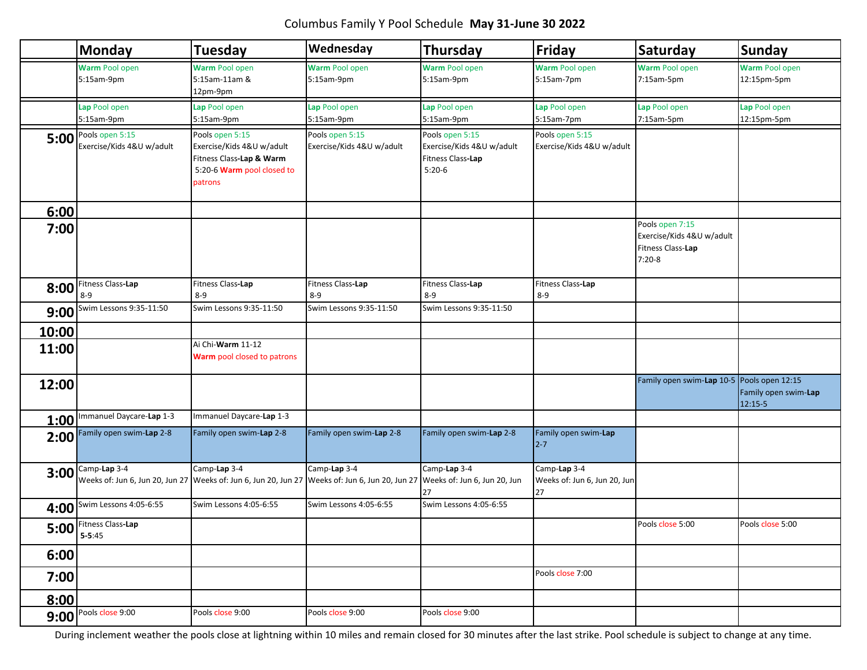# Columbus Family Y Pool Schedule **May 31-June 30 2022**

|       | <b>Monday</b>                                                  | <b>Tuesday</b>                                                                                                    | Wednesday                                    | <b>Thursday</b>                                                               | <b>Friday</b>                                      | Saturday                                                                      | <b>Sunday</b>                     |
|-------|----------------------------------------------------------------|-------------------------------------------------------------------------------------------------------------------|----------------------------------------------|-------------------------------------------------------------------------------|----------------------------------------------------|-------------------------------------------------------------------------------|-----------------------------------|
|       | <b>Warm Pool open</b><br>5:15am-9pm                            | Warm Pool open<br>5:15am-11am &<br>12pm-9pm                                                                       | <b>Warm Pool open</b><br>5:15am-9pm          | Warm Pool open<br>5:15am-9pm                                                  | <b>Warm Pool open</b><br>5:15am-7pm                | <b>Warm Pool open</b><br>7:15am-5pm                                           | Warm Pool open<br>12:15pm-5pm     |
|       | Lap Pool open<br>5:15am-9pm                                    | Lap Pool open<br>5:15am-9pm                                                                                       | Lap Pool open<br>5:15am-9pm                  | Lap Pool open<br>5:15am-9pm                                                   | Lap Pool open<br>5:15am-7pm                        | Lap Pool open<br>7:15am-5pm                                                   | Lap Pool open<br>12:15pm-5pm      |
|       | $\overline{5:00}$ Pools open 5:15<br>Exercise/Kids 4&U w/adult | Pools open 5:15<br>Exercise/Kids 4&U w/adult<br>Fitness Class-Lap & Warm<br>5:20-6 Warm pool closed to<br>patrons | Pools open 5:15<br>Exercise/Kids 4&U w/adult | Pools open 5:15<br>Exercise/Kids 4&U w/adult<br>Fitness Class-Lap<br>$5:20-6$ | Pools open 5:15<br>Exercise/Kids 4&U w/adult       |                                                                               |                                   |
| 6:00  |                                                                |                                                                                                                   |                                              |                                                                               |                                                    |                                                                               |                                   |
| 7:00  |                                                                |                                                                                                                   |                                              |                                                                               |                                                    | Pools open 7:15<br>Exercise/Kids 4&U w/adult<br>Fitness Class-Lap<br>$7:20-8$ |                                   |
| 8:00  | Fitness Class-Lap                                              | Fitness Class-Lap                                                                                                 | Fitness Class-Lap                            | Fitness Class-Lap                                                             | Fitness Class-Lap                                  |                                                                               |                                   |
| 9:00  | $8 - 9$<br>Swim Lessons 9:35-11:50                             | $8 - 9$<br>Swim Lessons 9:35-11:50                                                                                | $8 - 9$<br>Swim Lessons 9:35-11:50           | $8 - 9$<br>Swim Lessons 9:35-11:50                                            | $8 - 9$                                            |                                                                               |                                   |
| 10:00 |                                                                |                                                                                                                   |                                              |                                                                               |                                                    |                                                                               |                                   |
| 11:00 |                                                                | Ai Chi-Warm 11-12<br>Warm pool closed to patrons                                                                  |                                              |                                                                               |                                                    |                                                                               |                                   |
| 12:00 |                                                                |                                                                                                                   |                                              |                                                                               |                                                    | Family open swim-Lap 10-5 Pools open 12:15                                    | Family open swim-Lap<br>$12:15-5$ |
|       | 1:00 Immanuel Daycare-Lap 1-3                                  | Immanuel Daycare-Lap 1-3                                                                                          |                                              |                                                                               |                                                    |                                                                               |                                   |
|       | 2:00 Family open swim-Lap 2-8                                  | Family open swim-Lap 2-8                                                                                          | Family open swim-Lap 2-8                     | Family open swim-Lap 2-8                                                      | Family open swim-Lap<br>$2 - 7$                    |                                                                               |                                   |
|       | $3:00$ Camp-Lap 3-4<br>Weeks of: Jun 6, Jun 20, Jun 27         | Camp-Lap 3-4<br>Weeks of: Jun 6, Jun 20, Jun 27 Weeks of: Jun 6, Jun 20, Jun 27 Weeks of: Jun 6, Jun 20, Jun      | Camp-Lap 3-4                                 | Camp-Lap 3-4<br>27                                                            | Camp-Lap 3-4<br>Weeks of: Jun 6, Jun 20, Jun<br>27 |                                                                               |                                   |
|       | 4:00 Swim Lessons 4:05-6:55                                    | Swim Lessons 4:05-6:55                                                                                            | Swim Lessons 4:05-6:55                       | Swim Lessons 4:05-6:55                                                        |                                                    |                                                                               |                                   |
|       | $5:00$ Fitness Class-Lap<br>$5 - 5:45$                         |                                                                                                                   |                                              |                                                                               |                                                    | Pools close 5:00                                                              | Pools close 5:00                  |
| 6:00  |                                                                |                                                                                                                   |                                              |                                                                               |                                                    |                                                                               |                                   |
| 7:00  |                                                                |                                                                                                                   |                                              |                                                                               | Pools close 7:00                                   |                                                                               |                                   |
| 8:00  |                                                                |                                                                                                                   |                                              |                                                                               |                                                    |                                                                               |                                   |
|       | $9:00$ Pools close 9:00                                        | Pools close 9:00                                                                                                  | Pools close 9:00                             | Pools close 9:00                                                              |                                                    |                                                                               |                                   |

During inclement weather the pools close at lightning within 10 miles and remain closed for 30 minutes after the last strike. Pool schedule is subject to change at any time.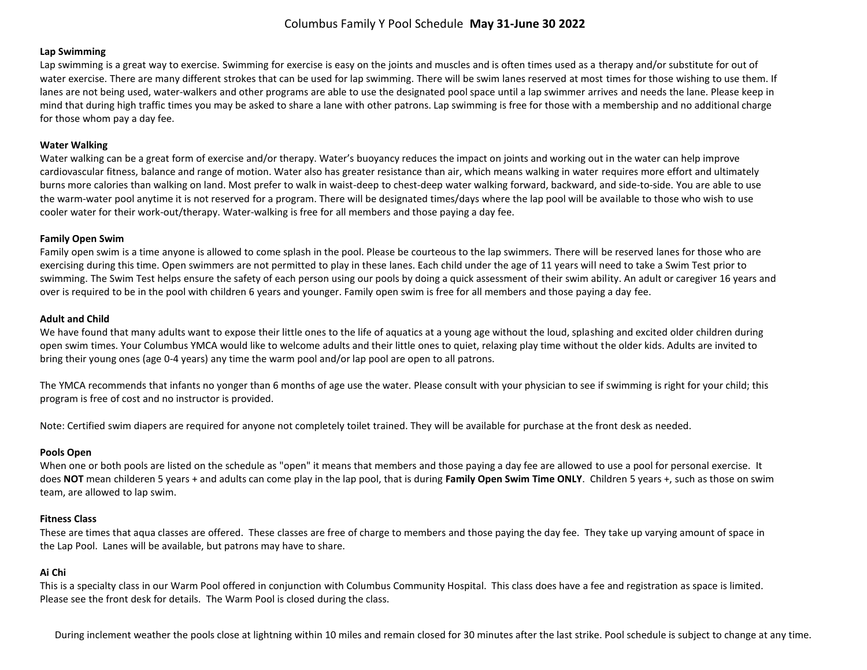# Columbus Family Y Pool Schedule **May 31-June 30 2022**

#### **Lap Swimming**

Lap swimming is a great way to exercise. Swimming for exercise is easy on the joints and muscles and is often times used as a therapy and/or substitute for out of water exercise. There are many different strokes that can be used for lap swimming. There will be swim lanes reserved at most times for those wishing to use them. If lanes are not being used, water-walkers and other programs are able to use the designated pool space until a lap swimmer arrives and needs the lane. Please keep in mind that during high traffic times you may be asked to share a lane with other patrons. Lap swimming is free for those with a membership and no additional charge for those whom pay a day fee.

## **Water Walking**

Water walking can be a great form of exercise and/or therapy. Water's buoyancy reduces the impact on joints and working out in the water can help improve cardiovascular fitness, balance and range of motion. Water also has greater resistance than air, which means walking in water requires more effort and ultimately burns more calories than walking on land. Most prefer to walk in waist-deep to chest-deep water walking forward, backward, and side-to-side. You are able to use the warm-water pool anytime it is not reserved for a program. There will be designated times/days where the lap pool will be available to those who wish to use cooler water for their work-out/therapy. Water-walking is free for all members and those paying a day fee.

#### **Family Open Swim**

Family open swim is a time anyone is allowed to come splash in the pool. Please be courteous to the lap swimmers. There will be reserved lanes for those who are exercising during this time. Open swimmers are not permitted to play in these lanes. Each child under the age of 11 years will need to take a Swim Test prior to swimming. The Swim Test helps ensure the safety of each person using our pools by doing a quick assessment of their swim ability. An adult or caregiver 16 years and over is required to be in the pool with children 6 years and younger. Family open swim is free for all members and those paying a day fee.

## **Adult and Child**

We have found that many adults want to expose their little ones to the life of aquatics at a young age without the loud, splashing and excited older children during open swim times. Your Columbus YMCA would like to welcome adults and their little ones to quiet, relaxing play time without the older kids. Adults are invited to bring their young ones (age 0-4 years) any time the warm pool and/or lap pool are open to all patrons.

The YMCA recommends that infants no yonger than 6 months of age use the water. Please consult with your physician to see if swimming is right for your child; this program is free of cost and no instructor is provided.

Note: Certified swim diapers are required for anyone not completely toilet trained. They will be available for purchase at the front desk as needed.

# **Pools Open**

When one or both pools are listed on the schedule as "open" it means that members and those paying a day fee are allowed to use a pool for personal exercise. It does **NOT** mean childeren 5 years + and adults can come play in the lap pool, that is during **Family Open Swim Time ONLY**. Children 5 years +, such as those on swim team, are allowed to lap swim.

# **Fitness Class**

These are times that aqua classes are offered. These classes are free of charge to members and those paying the day fee. They take up varying amount of space in the Lap Pool. Lanes will be available, but patrons may have to share.

# **Ai Chi**

This is a specialty class in our Warm Pool offered in conjunction with Columbus Community Hospital. This class does have a fee and registration as space is limited. Please see the front desk for details. The Warm Pool is closed during the class.

During inclement weather the pools close at lightning within 10 miles and remain closed for 30 minutes after the last strike. Pool schedule is subject to change at any time.